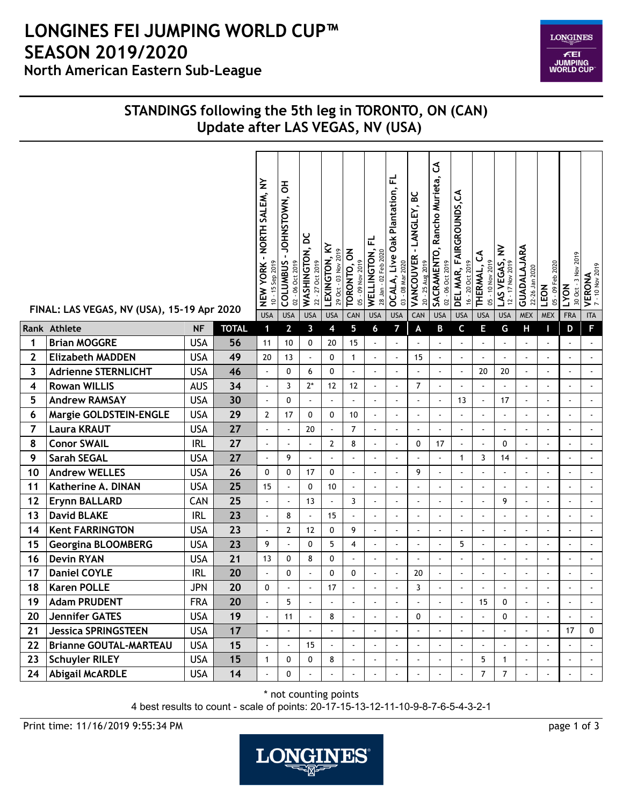## **North American Eastern Sub-League LONGINES FEI JUMPING WORLD CUP™ SEASON 2019/2020**

**LONGINES FEI<br>JUMPING<br>WORLD CUP** 

## **STANDINGS following the 5th leg in TORONTO, ON (CAN) Update after LAS VEGAS, NV (USA)**

|              | FINAL: LAS VEGAS, NV (USA), 15-19 Apr 2020 |            |              | - NORTH SALEM, NY<br>$10 - 15$ Sep 2019<br><b>NEW YORK</b><br><b>USA</b> | $\overline{5}$<br>JOHNSTOWN,<br><b>COLUMBUS</b><br>02 - 06 Oct 2019<br><b>USA</b> | ă<br>WASHINGTON,<br>22 - 27 Oct 2019<br><b>USA</b> | ≩<br>29 Oct - 03 Nov 2019<br>LEXINGTON,<br><b>USA</b> | TORONTO, ON<br>05 - 09 Nov 2019<br>CAN | 군<br>28 Jan - 02 Feb 2020<br>WELLINGTON,<br><b>USA</b> | 군<br>OCALA, Live Oak Plantation,<br>03 - 08 Mar 2020<br><b>USA</b> | <u>ی</u><br>LANGLEY,<br>$\blacksquare$<br><b>VANCOUVER</b><br>20 - 25 Aug 2019<br>CAN | $\mathfrak{S}% _{A}^{\ast}(\mathbb{R}^{2})$<br>SACRAMENTO, Rancho Murieta,<br>02 - 06 Oct 2019<br><b>USA</b> | DEL MAR, FAIRGROUNDS, CA<br>16 - 20 Oct 2019<br><b>USA</b> | ర<br>05 - 10 Nov 2019<br>THERMAL,<br><b>USA</b> | LAS VEGAS, NV<br>$-17$ Nov 2019<br>$\tilde{c}$<br><b>USA</b> | GUADALAJARA<br>22-26 Jan 2020<br><b>MEX</b> | 05 - 09 Feb 2020<br>LEON<br><b>MEX</b> | 30 Oct - 3 Nov 2019<br><b>LYON</b><br><b>FRA</b> | <b>VERONA</b><br>7 - 10 Nov 2019<br><b>ITA</b> |
|--------------|--------------------------------------------|------------|--------------|--------------------------------------------------------------------------|-----------------------------------------------------------------------------------|----------------------------------------------------|-------------------------------------------------------|----------------------------------------|--------------------------------------------------------|--------------------------------------------------------------------|---------------------------------------------------------------------------------------|--------------------------------------------------------------------------------------------------------------|------------------------------------------------------------|-------------------------------------------------|--------------------------------------------------------------|---------------------------------------------|----------------------------------------|--------------------------------------------------|------------------------------------------------|
|              | Rank Athlete                               | <b>NF</b>  | <b>TOTAL</b> | $\mathbf 1$                                                              | $\overline{2}$                                                                    | 3                                                  | 4                                                     | 5                                      | 6                                                      | $\overline{ }$                                                     | A                                                                                     | B                                                                                                            | C                                                          | Е                                               | G                                                            | Н                                           |                                        | D                                                | F                                              |
| 1            | <b>Brian MOGGRE</b>                        | <b>USA</b> | 56           | 11                                                                       | 10                                                                                | 0                                                  | 20                                                    | 15                                     | $\overline{\phantom{a}}$                               | $\blacksquare$                                                     |                                                                                       | ä,                                                                                                           | $\overline{a}$                                             | $\overline{a}$                                  | $\overline{a}$                                               | ÷.                                          |                                        | ÷.                                               |                                                |
| $\mathbf{2}$ | <b>Elizabeth MADDEN</b>                    | <b>USA</b> | 49           | 20                                                                       | 13                                                                                | ä,                                                 | 0                                                     | $\mathbf{1}$                           | $\blacksquare$                                         | $\omega$                                                           | 15                                                                                    | ä,                                                                                                           | $\tilde{\phantom{a}}$                                      | $\omega$                                        | $\overline{\phantom{a}}$                                     | ÷,                                          |                                        | $\mathbf{r}$                                     | $\blacksquare$                                 |
| 3            | <b>Adrienne STERNLICHT</b>                 | <b>USA</b> | 46           |                                                                          | 0                                                                                 | 6                                                  | 0                                                     | $\blacksquare$                         | ÷,                                                     | $\blacksquare$                                                     | $\hat{\phantom{a}}$                                                                   |                                                                                                              | $\blacksquare$                                             | 20                                              | 20                                                           | ٠                                           |                                        | ÷,                                               | $\blacksquare$                                 |
| 4            | <b>Rowan WILLIS</b>                        | <b>AUS</b> | 34           |                                                                          | 3                                                                                 | $2^*$                                              | 12                                                    | 12                                     | $\overline{a}$                                         | ä,                                                                 | $\overline{7}$                                                                        |                                                                                                              |                                                            | $\overline{\phantom{a}}$                        | ä,                                                           |                                             |                                        | ÷,                                               | $\blacksquare$                                 |
| 5            | <b>Andrew RAMSAY</b>                       | <b>USA</b> | 30           |                                                                          | 0                                                                                 | $\omega$                                           | ÷.                                                    |                                        |                                                        | ä,                                                                 | $\overline{a}$                                                                        |                                                                                                              | 13                                                         | $\omega$                                        | 17                                                           | ÷,                                          |                                        | ÷.                                               | $\mathbf{r}$                                   |
| 6            | Margie GOLDSTEIN-ENGLE                     | <b>USA</b> | 29           | $\overline{2}$                                                           | 17                                                                                | $\mathbf{0}$                                       | 0                                                     | 10                                     | $\overline{a}$                                         | ÷.                                                                 | ÷,                                                                                    |                                                                                                              |                                                            | ÷,                                              | $\blacksquare$                                               | ÷,                                          |                                        | $\blacksquare$                                   | ä,                                             |
| 7            | <b>Laura KRAUT</b>                         | <b>USA</b> | 27           |                                                                          |                                                                                   | 20                                                 |                                                       | $\overline{7}$                         | ÷,                                                     | ä,                                                                 | $\overline{\phantom{a}}$                                                              |                                                                                                              | $\overline{\phantom{a}}$                                   | $\overline{\phantom{a}}$                        | ä,                                                           |                                             |                                        | $\overline{\phantom{a}}$                         | $\Delta$                                       |
| 8            | <b>Conor SWAIL</b>                         | <b>IRL</b> | 27           | ÷,                                                                       | $\sim$                                                                            | $\omega$                                           | 2                                                     | 8                                      | $\overline{\phantom{a}}$                               | $\blacksquare$                                                     | 0                                                                                     | 17                                                                                                           | $\tilde{\phantom{a}}$                                      | $\overline{\phantom{a}}$                        | 0                                                            | $\blacksquare$                              |                                        | ÷,                                               | $\Delta$                                       |
| 9            | <b>Sarah SEGAL</b>                         | <b>USA</b> | 27           |                                                                          | 9                                                                                 | $\overline{\phantom{a}}$                           |                                                       |                                        |                                                        | $\overline{\phantom{a}}$                                           |                                                                                       |                                                                                                              | $\mathbf{1}$                                               | 3                                               | 14                                                           | $\blacksquare$                              |                                        | $\overline{a}$                                   | $\Delta$                                       |
| 10           | <b>Andrew WELLES</b>                       | <b>USA</b> | 26           | $\mathbf{0}$                                                             | $\Omega$                                                                          | 17                                                 | 0                                                     | $\blacksquare$                         | ÷,                                                     | ä,                                                                 | 9                                                                                     |                                                                                                              | ٠                                                          | ÷,                                              | $\blacksquare$                                               | ٠                                           |                                        | $\blacksquare$                                   | $\mathbf{r}$                                   |
| 11           | Katherine A. DINAN                         | <b>USA</b> | 25           | 15                                                                       | $\overline{\phantom{a}}$                                                          | $\mathbf 0$                                        | 10                                                    | $\overline{\phantom{a}}$               | $\overline{\phantom{a}}$                               | ä,                                                                 | ä,                                                                                    |                                                                                                              | ÷,                                                         | L.                                              | $\blacksquare$                                               |                                             |                                        | ÷,                                               | $\blacksquare$                                 |
| 12           | <b>Erynn BALLARD</b>                       | CAN        | 25           |                                                                          | $\blacksquare$                                                                    | 13                                                 | $\sim$                                                | 3                                      | ä,                                                     | $\blacksquare$                                                     | ä,                                                                                    | $\ddot{\phantom{1}}$                                                                                         |                                                            | ÷                                               | 9                                                            |                                             |                                        | $\sim$                                           | $\sim$                                         |
| 13           | <b>David BLAKE</b>                         | <b>IRL</b> | 23           | ÷,                                                                       | 8                                                                                 | $\blacksquare$                                     | 15                                                    | ÷,                                     | $\overline{\phantom{a}}$                               | $\blacksquare$                                                     | $\blacksquare$                                                                        |                                                                                                              | ä,                                                         | ä,                                              | $\blacksquare$                                               | $\blacksquare$                              |                                        | $\mathbf{r}$                                     | $\Delta$                                       |
| 14           | <b>Kent FARRINGTON</b>                     | <b>USA</b> | 23           | ÷,                                                                       | $\overline{2}$                                                                    | 12                                                 | 0                                                     | 9                                      | ÷,                                                     | ÷.                                                                 | $\blacksquare$                                                                        | $\blacksquare$                                                                                               | $\sim$                                                     | $\blacksquare$                                  | $\blacksquare$                                               | $\blacksquare$                              |                                        | $\mathbf{r}$                                     | $\mathbf{r}$                                   |
| 15           | <b>Georgina BLOOMBERG</b>                  | <b>USA</b> | 23           | 9                                                                        |                                                                                   | $\mathbf 0$                                        | 5                                                     | $\overline{4}$                         | $\blacksquare$                                         | ÷,                                                                 |                                                                                       |                                                                                                              | 5                                                          |                                                 |                                                              |                                             |                                        |                                                  |                                                |
| 16           | <b>Devin RYAN</b>                          | <b>USA</b> | 21           | 13                                                                       | 0                                                                                 | 8                                                  | 0                                                     | ÷.                                     | $\overline{a}$                                         | $\blacksquare$                                                     | $\overline{a}$                                                                        |                                                                                                              | L.                                                         | $\overline{a}$                                  | $\overline{a}$                                               | ÷.                                          |                                        | ÷.                                               | $\Delta$                                       |
| 17           | <b>Daniel COYLE</b>                        | <b>IRL</b> | 20           |                                                                          | 0                                                                                 | $\blacksquare$                                     | 0                                                     | $\mathbf{0}$                           | ÷,                                                     | $\mathcal{L}_{\mathcal{A}}$                                        | 20                                                                                    | $\blacksquare$                                                                                               | ÷,                                                         | $\blacksquare$                                  | $\blacksquare$                                               | $\blacksquare$                              | $\blacksquare$                         | ä,                                               | $\omega$                                       |
| 18           | <b>Karen POLLE</b>                         | <b>JPN</b> | 20           | $\mathbf{0}$                                                             |                                                                                   |                                                    | 17                                                    |                                        |                                                        |                                                                    | 3                                                                                     |                                                                                                              |                                                            |                                                 |                                                              |                                             |                                        |                                                  |                                                |
| 19           | <b>Adam PRUDENT</b>                        | <b>FRA</b> | 20           |                                                                          | 5.                                                                                |                                                    |                                                       |                                        |                                                        |                                                                    |                                                                                       |                                                                                                              |                                                            | 15                                              | 0                                                            |                                             |                                        |                                                  |                                                |
| 20           | <b>Jennifer GATES</b>                      | <b>USA</b> | 19           |                                                                          | 11                                                                                |                                                    | 8                                                     |                                        |                                                        |                                                                    | $\Omega$                                                                              |                                                                                                              |                                                            |                                                 | 0                                                            |                                             |                                        |                                                  |                                                |
| 21           | <b>Jessica SPRINGSTEEN</b>                 | <b>USA</b> | 17           | $\ddot{\phantom{1}}$                                                     | $\Box$                                                                            |                                                    |                                                       | $\overline{a}$                         | ٠                                                      | ٠                                                                  | $\hat{\phantom{a}}$                                                                   |                                                                                                              | $\blacksquare$                                             | $\blacksquare$                                  |                                                              |                                             |                                        | 17                                               | 0                                              |
| 22           | <b>Brianne GOUTAL-MARTEAU</b>              | <b>USA</b> | 15           |                                                                          | ä,                                                                                | 15                                                 |                                                       |                                        |                                                        | ä,                                                                 |                                                                                       |                                                                                                              | $\overline{a}$                                             |                                                 |                                                              |                                             |                                        | ÷,                                               |                                                |
| 23           | <b>Schuyler RILEY</b>                      | <b>USA</b> | 15           | $\mathbf{1}$                                                             | 0                                                                                 | 0                                                  | 8                                                     |                                        |                                                        | $\blacksquare$                                                     |                                                                                       |                                                                                                              |                                                            | 5                                               | $\mathbf{1}$                                                 |                                             |                                        | $\overline{\phantom{a}}$                         |                                                |
|              | 24 Abigail McARDLE                         | <b>USA</b> | 14           | $\overline{a}$                                                           | 0                                                                                 | $\Box$                                             | $\blacksquare$                                        | ÷,                                     | $\overline{\phantom{a}}$                               | ä,                                                                 | ä,                                                                                    |                                                                                                              | ÷,                                                         | $\overline{7}$                                  | $\overline{7}$                                               |                                             |                                        | ä,                                               | $\mathbb{Z}^{\mathbb{Z}}$                      |

\* not counting points

4 best results to count - scale of points: 20-17-15-13-12-11-10-9-8-7-6-5-4-3-2-1

Print time: 11/16/2019 9:55:34 PM page 1 of 3

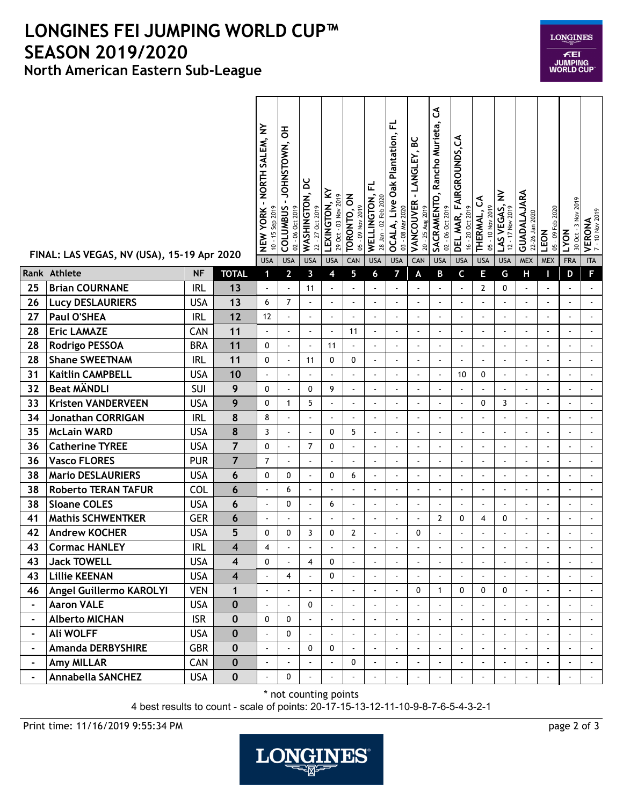## **North American Eastern Sub-League LONGINES FEI JUMPING WORLD CUP™ SEASON 2019/2020**

| <b>LONGINES</b>                    |
|------------------------------------|
| ÆEI<br>JUMPING<br><b>WORLD CUP</b> |

|                | FINAL: LAS VEGAS, NV (USA), 15-19 Apr 2020 |            |                         | NORTH SALEM, NY<br><b>NEW YORK-</b><br>$10 - 15$ Sep 2019<br><b>USA</b> | JOHNSTOWN, OH<br><b>COLUMBUS</b><br>02 - 06 Oct 2019<br><b>USA</b> | ă<br>WASHINGTON,<br>22 - 27 Oct 2019<br><b>USA</b> | LEXINGTON, KY<br>29 Oct - 03 Nov 2019<br><b>USA</b> | TORONTO, ON<br>05 - 09 Nov 2019<br>CAN | 군<br>WELLINGTON,<br>28 Jan - 02 Feb 2020<br><b>USA</b> | 군<br><b>OCALA, Live Oak Plantation,</b><br>03 - 08 Mar 2020<br><b>USA</b> | မ္မ<br>- LANGLEY,<br>VANCOUVER<br>20 - 25 Aug 2019<br>CAN | ვ<br>SACRAMENTO, Rancho Murieta,<br>02 - 06 Oct 2019<br><b>USA</b> | DEL MAR, FAIRGROUNDS, CA<br>16 - 20 Oct 2019<br><b>USA</b> | ქ<br>05 - 10 Nov 2019<br>THERMAL,<br><b>USA</b> | LAS VEGAS, NV<br>$-17$ Nov 2019<br>12<br><b>USA</b> | GUADALAJARA<br>22-26 Jan 2020<br><b>MEX</b> | 05 - 09 Feb 2020<br>LEON<br><b>MEX</b> | 2019<br>30 Oct - 3 Nov<br>LYON<br><b>FRA</b> | <b>VERONA</b><br>7-10 Nov 2019<br><b>ITA</b> |
|----------------|--------------------------------------------|------------|-------------------------|-------------------------------------------------------------------------|--------------------------------------------------------------------|----------------------------------------------------|-----------------------------------------------------|----------------------------------------|--------------------------------------------------------|---------------------------------------------------------------------------|-----------------------------------------------------------|--------------------------------------------------------------------|------------------------------------------------------------|-------------------------------------------------|-----------------------------------------------------|---------------------------------------------|----------------------------------------|----------------------------------------------|----------------------------------------------|
|                | Rank Athlete                               | <b>NF</b>  | <b>TOTAL</b>            | 1                                                                       | $\mathbf{2}$                                                       | 3                                                  | 4                                                   | 5                                      | 6                                                      | 7                                                                         | A                                                         | В                                                                  | C                                                          | Е                                               | G                                                   | Н                                           | п                                      | D                                            | F.                                           |
| 25             | <b>Brian COURNANE</b>                      | <b>IRL</b> | 13                      | $\overline{a}$                                                          | $\Box$                                                             | 11                                                 | ÷,                                                  | $\blacksquare$                         | ÷,                                                     | $\blacksquare$                                                            | $\omega$                                                  | ÷,                                                                 | $\blacksquare$                                             | $\overline{2}$                                  | 0                                                   | $\blacksquare$                              | $\tilde{\phantom{a}}$                  | $\blacksquare$                               | $\blacksquare$                               |
| 26             | <b>Lucy DESLAURIERS</b>                    | <b>USA</b> | 13                      | 6                                                                       | $\overline{7}$                                                     | $\overline{\phantom{a}}$                           | ÷,                                                  | ÷,                                     | $\tilde{\phantom{a}}$                                  | $\blacksquare$                                                            | ÷,                                                        |                                                                    |                                                            |                                                 | $\omega$                                            | $\blacksquare$                              |                                        | ÷,                                           | L.                                           |
| 27             | Paul O'SHEA                                | <b>IRL</b> | 12                      | 12                                                                      | $\mathbf{r}$                                                       | $\overline{a}$                                     | $\overline{a}$                                      | ÷,                                     | L.                                                     | ä,                                                                        | $\overline{a}$                                            | ÷.                                                                 | $\overline{a}$                                             | $\overline{a}$                                  | $\omega$                                            | $\sim$                                      |                                        | $\overline{a}$                               | $\omega$                                     |
| 28             | <b>Eric LAMAZE</b>                         | CAN        | 11                      | ÷,                                                                      | $\blacksquare$                                                     | ÷,                                                 | ÷,                                                  | 11                                     | ÷,                                                     | $\blacksquare$                                                            | $\blacksquare$                                            |                                                                    |                                                            | ÷,                                              | ÷,                                                  | $\blacksquare$                              |                                        | ÷,                                           | $\blacksquare$                               |
| 28             | <b>Rodrigo PESSOA</b>                      | <b>BRA</b> | 11                      | $\mathbf{0}$                                                            | $\blacksquare$                                                     | $\blacksquare$                                     | 11                                                  |                                        | $\blacksquare$                                         | $\blacksquare$                                                            | ÷,                                                        |                                                                    |                                                            | $\blacksquare$                                  |                                                     |                                             |                                        | ÷,                                           |                                              |
| 28             | <b>Shane SWEETNAM</b>                      | <b>IRL</b> | 11                      | $\mathbf{0}$                                                            | $\overline{a}$                                                     | 11                                                 | 0                                                   | 0                                      | ÷,                                                     | ÷,                                                                        | ä,                                                        |                                                                    |                                                            |                                                 | $\sim$                                              |                                             |                                        | ÷,                                           | $\tilde{\phantom{a}}$                        |
| 31             | <b>Kaitlin CAMPBELL</b>                    | <b>USA</b> | 10                      | ÷,                                                                      | $\mathbf{r}$                                                       | $\overline{a}$                                     | ÷.                                                  | $\sim$                                 | $\blacksquare$                                         | $\omega$                                                                  | ÷.                                                        | ÷,                                                                 | 10                                                         | 0                                               | $\omega$                                            | $\sim$                                      | ÷.                                     | L.                                           | $\blacksquare$                               |
| 32             | <b>Beat MÄNDLI</b>                         | SUI        | 9                       | $\Omega$                                                                | $\blacksquare$                                                     | 0                                                  | 9                                                   | $\overline{a}$                         | $\blacksquare$                                         | $\blacksquare$                                                            | ÷,                                                        |                                                                    |                                                            | ÷,                                              | ÷,                                                  | $\blacksquare$                              | $\sim$                                 | ÷,                                           | $\tilde{\phantom{a}}$                        |
| 33             | <b>Kristen VANDERVEEN</b>                  | <b>USA</b> | 9                       | $\mathbf{0}$                                                            | $\mathbf{1}$                                                       | 5                                                  |                                                     | $\blacksquare$                         | ÷,                                                     | ÷,                                                                        | $\blacksquare$                                            |                                                                    | $\overline{\phantom{a}}$                                   | 0                                               | 3                                                   |                                             |                                        | ÷,                                           | ä,                                           |
| 34             | <b>Jonathan CORRIGAN</b>                   | <b>IRL</b> | 8                       | 8                                                                       | $\blacksquare$                                                     | $\overline{\phantom{a}}$                           | ÷.                                                  | $\ddot{\phantom{1}}$                   | $\sim$                                                 | ä,                                                                        | ÷.                                                        | $\ddot{\phantom{1}}$                                               |                                                            | ÷.                                              | $\sim$                                              | $\sim$                                      |                                        | L.                                           | $\blacksquare$                               |
| 35             | <b>McLain WARD</b>                         | <b>USA</b> | 8                       | 3                                                                       | $\blacksquare$                                                     | $\omega$                                           | 0                                                   | 5                                      | $\tilde{\phantom{a}}$                                  | ÷.                                                                        | $\hat{\phantom{a}}$                                       |                                                                    |                                                            | $\blacksquare$                                  | $\blacksquare$                                      | $\blacksquare$                              |                                        | ÷,                                           | $\blacksquare$                               |
| 36             | <b>Catherine TYREE</b>                     | <b>USA</b> | $\overline{7}$          | $\mathbf{0}$                                                            | $\overline{a}$                                                     | $\overline{7}$                                     | 0                                                   | $\blacksquare$                         | $\blacksquare$                                         | $\blacksquare$                                                            | $\blacksquare$                                            | $\ddot{\phantom{0}}$                                               |                                                            |                                                 | $\blacksquare$                                      |                                             |                                        | ÷,                                           | $\blacksquare$                               |
| 36             | <b>Vasco FLORES</b>                        | <b>PUR</b> | $\overline{7}$          | $\overline{7}$                                                          | $\overline{a}$                                                     |                                                    |                                                     | $\overline{a}$                         |                                                        | $\overline{\phantom{a}}$                                                  | ÷,                                                        |                                                                    |                                                            | ÷,                                              | $\sim$                                              |                                             |                                        | ÷                                            | ÷,                                           |
| 38             | <b>Mario DESLAURIERS</b>                   | <b>USA</b> | 6                       | 0                                                                       | 0                                                                  | $\omega$                                           | 0                                                   | 6                                      | $\overline{\phantom{a}}$                               | ä,                                                                        | ÷.                                                        |                                                                    |                                                            | ÷.                                              | $\sim$                                              | $\overline{a}$                              |                                        | L.                                           | $\omega$                                     |
| 38             | <b>Roberto TERAN TAFUR</b>                 | <b>COL</b> | 6                       | ÷,                                                                      | 6                                                                  | $\omega$                                           | $\blacksquare$                                      | ÷                                      | ÷,                                                     | ä,                                                                        | $\blacksquare$                                            | $\blacksquare$                                                     | $\blacksquare$                                             | ÷,                                              | $\blacksquare$                                      | $\blacksquare$                              | $\tilde{\phantom{a}}$                  | $\blacksquare$                               | $\blacksquare$                               |
| 38             | <b>Sloane COLES</b>                        | <b>USA</b> | 6                       | ÷                                                                       | 0                                                                  | $\omega$                                           | 6                                                   |                                        | $\tilde{\phantom{a}}$                                  | ÷,                                                                        | ÷,                                                        |                                                                    |                                                            | $\sim$                                          | $\overline{\phantom{a}}$                            | $\blacksquare$                              |                                        | $\overline{\phantom{a}}$                     |                                              |
| 41             | <b>Mathis SCHWENTKER</b>                   | <b>GER</b> | 6                       |                                                                         | $\tilde{\phantom{a}}$                                              | $\sim$                                             |                                                     |                                        | ÷,                                                     | ä,                                                                        | $\sim$                                                    | 2                                                                  | 0                                                          | 4                                               | 0                                                   | ÷,                                          |                                        | ÷,                                           | $\blacksquare$                               |
| 42             | <b>Andrew KOCHER</b>                       | <b>USA</b> | 5                       | 0                                                                       | 0                                                                  | 3                                                  | 0                                                   | $\overline{2}$                         | $\overline{\phantom{a}}$                               | $\overline{a}$                                                            | 0                                                         |                                                                    |                                                            |                                                 |                                                     |                                             |                                        | ÷,                                           | L.                                           |
| 43             | <b>Cormac HANLEY</b>                       | <b>IRL</b> | $\overline{\mathbf{4}}$ | $\overline{\mathbf{4}}$                                                 |                                                                    |                                                    |                                                     |                                        | $\overline{\phantom{a}}$                               | ä,                                                                        |                                                           |                                                                    |                                                            |                                                 |                                                     |                                             |                                        | $\overline{\phantom{a}}$                     | $\overline{a}$                               |
| 43             | <b>Jack TOWELL</b>                         | <b>USA</b> | 4                       | $\mathbf 0$                                                             | $\mathbf{r}$                                                       | $\overline{4}$                                     | 0                                                   |                                        |                                                        | L.                                                                        |                                                           |                                                                    |                                                            |                                                 |                                                     |                                             |                                        |                                              |                                              |
| 43             | <b>Lillie KEENAN</b>                       | <b>USA</b> | $\overline{\mathbf{4}}$ |                                                                         | 4                                                                  |                                                    | 0                                                   |                                        |                                                        | $\omega$                                                                  |                                                           |                                                                    |                                                            |                                                 |                                                     |                                             |                                        |                                              | ÷.                                           |
| 46             | Angel Guillermo KAROLYI                    | <b>VEN</b> | $\mathbf{1}$            | ÷,                                                                      | $\blacksquare$                                                     | $\omega$                                           | $\omega$                                            | $\tilde{\phantom{a}}$                  | $\overline{a}$                                         | ÷.                                                                        | $\mathbf 0$                                               | $\mathbf{1}$                                                       | 0                                                          | $\mathbf 0$                                     | 0                                                   | $\omega$                                    |                                        | $\overline{\phantom{a}}$                     | $\blacksquare$                               |
| $\blacksquare$ | <b>Aaron VALE</b>                          | <b>USA</b> | $\mathbf 0$             | $\overline{a}$                                                          | ÷.                                                                 | $\Omega$                                           |                                                     |                                        |                                                        | ÷.                                                                        | ÷.                                                        |                                                                    |                                                            |                                                 | ÷.                                                  |                                             |                                        | ä,                                           | $\blacksquare$                               |
| $\blacksquare$ | <b>Alberto MICHAN</b>                      | <b>ISR</b> | $\mathbf 0$             | 0                                                                       | 0                                                                  |                                                    |                                                     |                                        |                                                        | ä,                                                                        | $\overline{a}$                                            |                                                                    |                                                            | $\overline{\phantom{a}}$                        | ä,                                                  |                                             |                                        |                                              |                                              |
| $\blacksquare$ | <b>Ali WOLFF</b>                           | <b>USA</b> | $\mathbf 0$             | $\overline{a}$                                                          | $\mathbf 0$                                                        | $\omega$                                           |                                                     | $\blacksquare$                         |                                                        | ä,                                                                        |                                                           |                                                                    |                                                            | $\overline{\phantom{a}}$                        | $\omega$                                            |                                             |                                        | ä,                                           | $\blacksquare$                               |
| $\blacksquare$ | Amanda DERBYSHIRE                          | <b>GBR</b> | $\mathbf 0$             | $\overline{\phantom{a}}$                                                | ä,                                                                 | 0                                                  | 0                                                   | $\blacksquare$                         | $\Delta$                                               | $\blacksquare$                                                            | $\omega$                                                  | $\blacksquare$                                                     |                                                            | $\overline{a}$                                  | $\mathbf{r}$                                        | $\mathbf{r}$                                |                                        | ä,                                           | $\mathbf{r}$                                 |
| $\blacksquare$ | Amy MILLAR                                 | CAN        | $\mathbf 0$             |                                                                         | $\mathbf{r}$                                                       |                                                    |                                                     | 0                                      | ÷,                                                     | ÷.                                                                        | $\overline{a}$                                            |                                                                    |                                                            |                                                 | $\mathbf{r}$                                        |                                             |                                        | ä,                                           | $\blacksquare$                               |
| $\blacksquare$ | <b>Annabella SANCHEZ</b>                   | <b>USA</b> | $\pmb{0}$               | ÷,                                                                      | 0                                                                  |                                                    | $\overline{a}$                                      | ÷.                                     |                                                        | ä,                                                                        |                                                           |                                                                    |                                                            |                                                 | ÷.                                                  |                                             |                                        | ä,                                           | $\sim$                                       |

\* not counting points

4 best results to count - scale of points: 20-17-15-13-12-11-10-9-8-7-6-5-4-3-2-1

Print time: 11/16/2019 9:55:34 PM page 2 of 3